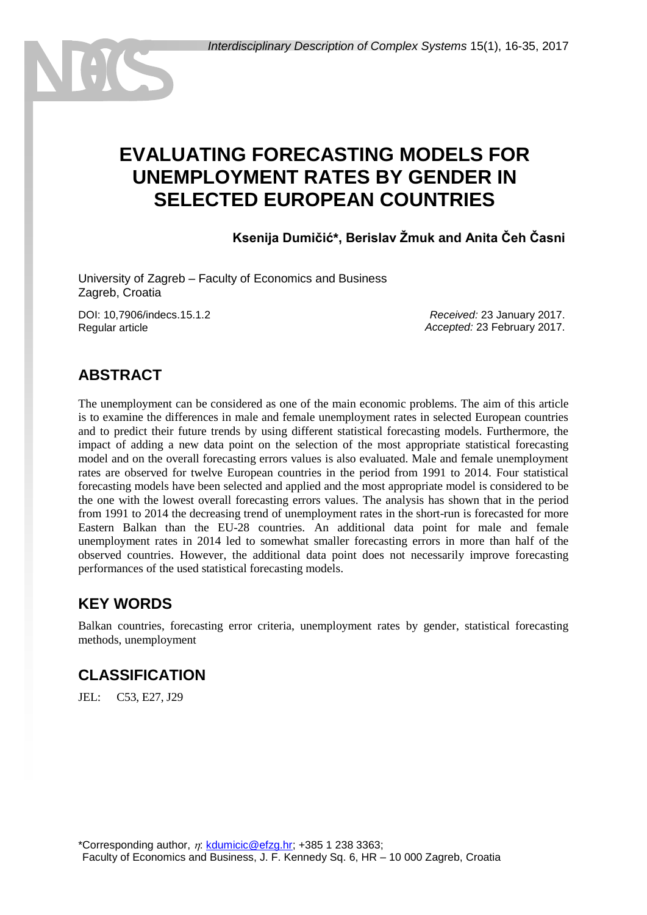# **EVALUATING FORECASTING MODELS FOR UNEMPLOYMENT RATES BY GENDER IN SELECTED EUROPEAN COUNTRIES**

**Ksenija Dumičić\*, Berislav Žmuk and Anita Čeh Časni**

University of Zagreb – Faculty of Economics and Business Zagreb, Croatia

DOI: 10,7906/indecs.15.1.2 Regular article

*Received:* 23 January 2017. *Accepted:* 23 February 2017.

# **ABSTRACT**

The unemployment can be considered as one of the main economic problems. The aim of this article is to examine the differences in male and female unemployment rates in selected European countries and to predict their future trends by using different statistical forecasting models. Furthermore, the impact of adding a new data point on the selection of the most appropriate statistical forecasting model and on the overall forecasting errors values is also evaluated. Male and female unemployment rates are observed for twelve European countries in the period from 1991 to 2014. Four statistical forecasting models have been selected and applied and the most appropriate model is considered to be the one with the lowest overall forecasting errors values. The analysis has shown that in the period from 1991 to 2014 the decreasing trend of unemployment rates in the short-run is forecasted for more Eastern Balkan than the EU-28 countries. An additional data point for male and female unemployment rates in 2014 led to somewhat smaller forecasting errors in more than half of the observed countries. However, the additional data point does not necessarily improve forecasting performances of the used statistical forecasting models.

# **KEY WORDS**

Balkan countries, forecasting error criteria, unemployment rates by gender, statistical forecasting methods, unemployment

# **CLASSIFICATION**

JEL: C53, E27, J29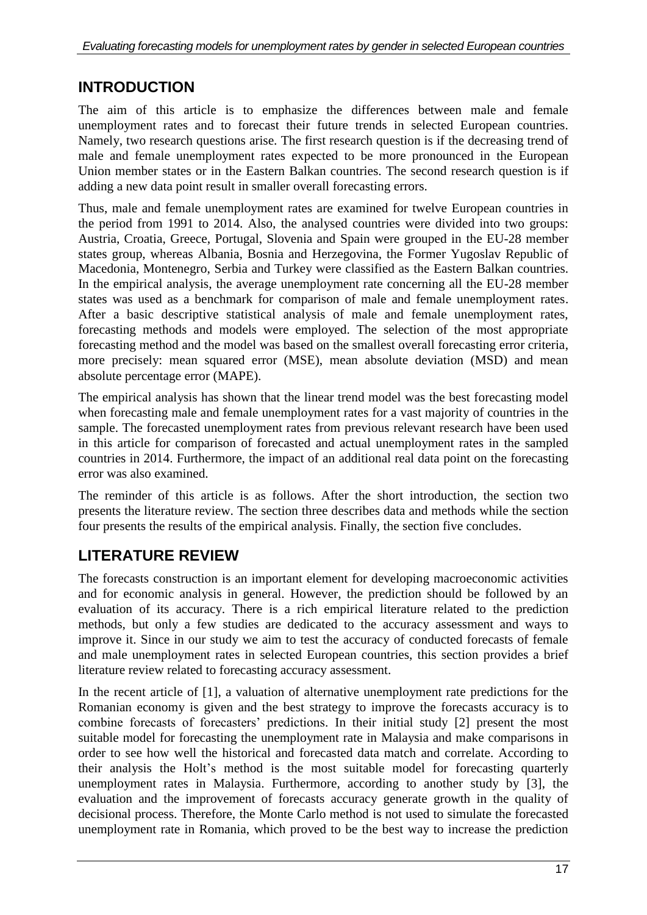# **INTRODUCTION**

The aim of this article is to emphasize the differences between male and female unemployment rates and to forecast their future trends in selected European countries. Namely, two research questions arise. The first research question is if the decreasing trend of male and female unemployment rates expected to be more pronounced in the European Union member states or in the Eastern Balkan countries. The second research question is if adding a new data point result in smaller overall forecasting errors.

Thus, male and female unemployment rates are examined for twelve European countries in the period from 1991 to 2014. Also, the analysed countries were divided into two groups: Austria, Croatia, Greece, Portugal, Slovenia and Spain were grouped in the EU-28 member states group, whereas Albania, Bosnia and Herzegovina, the Former Yugoslav Republic of Macedonia, Montenegro, Serbia and Turkey were classified as the Eastern Balkan countries. In the empirical analysis, the average unemployment rate concerning all the EU-28 member states was used as a benchmark for comparison of male and female unemployment rates. After a basic descriptive statistical analysis of male and female unemployment rates, forecasting methods and models were employed. The selection of the most appropriate forecasting method and the model was based on the smallest overall forecasting error criteria, more precisely: mean squared error (MSE), mean absolute deviation (MSD) and mean absolute percentage error (MAPE).

The empirical analysis has shown that the linear trend model was the best forecasting model when forecasting male and female unemployment rates for a vast majority of countries in the sample. The forecasted unemployment rates from previous relevant research have been used in this article for comparison of forecasted and actual unemployment rates in the sampled countries in 2014. Furthermore, the impact of an additional real data point on the forecasting error was also examined.

The reminder of this article is as follows. After the short introduction, the section two presents the literature review. The section three describes data and methods while the section four presents the results of the empirical analysis. Finally, the section five concludes.

# **LITERATURE REVIEW**

The forecasts construction is an important element for developing macroeconomic activities and for economic analysis in general. However, the prediction should be followed by an evaluation of its accuracy. There is a rich empirical literature related to the prediction methods, but only a few studies are dedicated to the accuracy assessment and ways to improve it. Since in our study we aim to test the accuracy of conducted forecasts of female and male unemployment rates in selected European countries, this section provides a brief literature review related to forecasting accuracy assessment.

In the recent article of [1], a valuation of alternative unemployment rate predictions for the Romanian economy is given and the best strategy to improve the forecasts accuracy is to combine forecasts of forecasters' predictions. In their initial study [2] present the most suitable model for forecasting the unemployment rate in Malaysia and make comparisons in order to see how well the historical and forecasted data match and correlate. According to their analysis the Holt's method is the most suitable model for forecasting quarterly unemployment rates in Malaysia. Furthermore, according to another study by [3], the evaluation and the improvement of forecasts accuracy generate growth in the quality of decisional process. Therefore, the Monte Carlo method is not used to simulate the forecasted unemployment rate in Romania, which proved to be the best way to increase the prediction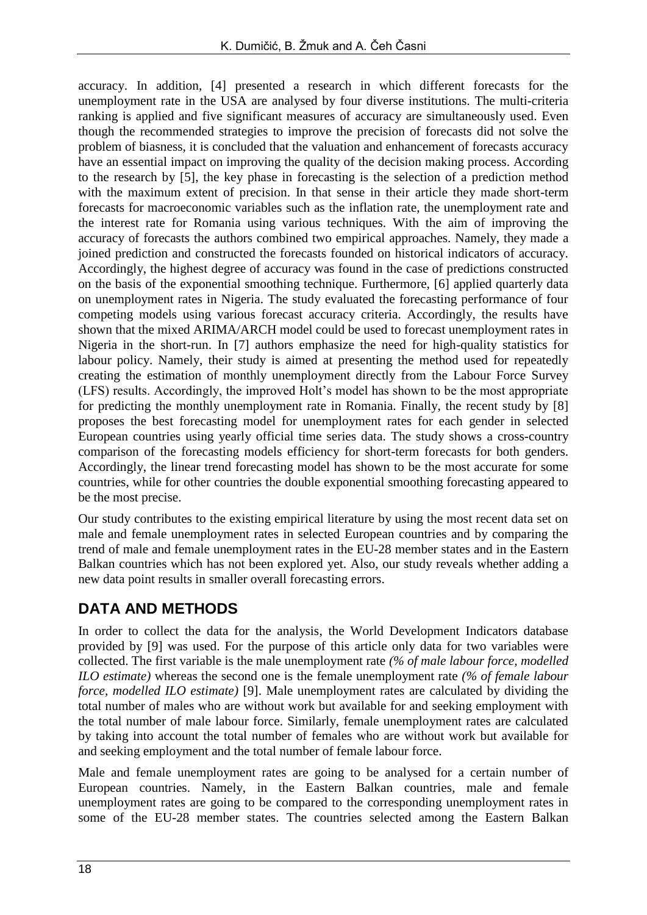accuracy. In addition, [4] presented a research in which different forecasts for the unemployment rate in the USA are analysed by four diverse institutions. The multi-criteria ranking is applied and five significant measures of accuracy are simultaneously used. Even though the recommended strategies to improve the precision of forecasts did not solve the problem of biasness, it is concluded that the valuation and enhancement of forecasts accuracy have an essential impact on improving the quality of the decision making process. According to the research by [5], the key phase in forecasting is the selection of a prediction method with the maximum extent of precision. In that sense in their article they made short-term forecasts for macroeconomic variables such as the inflation rate, the unemployment rate and the interest rate for Romania using various techniques. With the aim of improving the accuracy of forecasts the authors combined two empirical approaches. Namely, they made a joined prediction and constructed the forecasts founded on historical indicators of accuracy. Accordingly, the highest degree of accuracy was found in the case of predictions constructed on the basis of the exponential smoothing technique. Furthermore, [6] applied quarterly data on unemployment rates in Nigeria. The study evaluated the forecasting performance of four competing models using various forecast accuracy criteria. Accordingly, the results have shown that the mixed ARIMA/ARCH model could be used to forecast unemployment rates in Nigeria in the short-run. In [7] authors emphasize the need for high-quality statistics for labour policy. Namely, their study is aimed at presenting the method used for repeatedly creating the estimation of monthly unemployment directly from the Labour Force Survey (LFS) results. Accordingly, the improved Holt's model has shown to be the most appropriate for predicting the monthly unemployment rate in Romania. Finally, the recent study by [8] proposes the best forecasting model for unemployment rates for each gender in selected European countries using yearly official time series data. The study shows a cross-country comparison of the forecasting models efficiency for short-term forecasts for both genders. Accordingly, the linear trend forecasting model has shown to be the most accurate for some countries, while for other countries the double exponential smoothing forecasting appeared to be the most precise.

Our study contributes to the existing empirical literature by using the most recent data set on male and female unemployment rates in selected European countries and by comparing the trend of male and female unemployment rates in the EU-28 member states and in the Eastern Balkan countries which has not been explored yet. Also, our study reveals whether adding a new data point results in smaller overall forecasting errors.

# **DATA AND METHODS**

In order to collect the data for the analysis, the World Development Indicators database provided by [9] was used. For the purpose of this article only data for two variables were collected. The first variable is the male unemployment rate *(% of male labour force, modelled ILO estimate)* whereas the second one is the female unemployment rate *(% of female labour force, modelled ILO estimate)* [9]. Male unemployment rates are calculated by dividing the total number of males who are without work but available for and seeking employment with the total number of male labour force. Similarly, female unemployment rates are calculated by taking into account the total number of females who are without work but available for and seeking employment and the total number of female labour force.

Male and female unemployment rates are going to be analysed for a certain number of European countries. Namely, in the Eastern Balkan countries, male and female unemployment rates are going to be compared to the corresponding unemployment rates in some of the EU-28 member states. The countries selected among the Eastern Balkan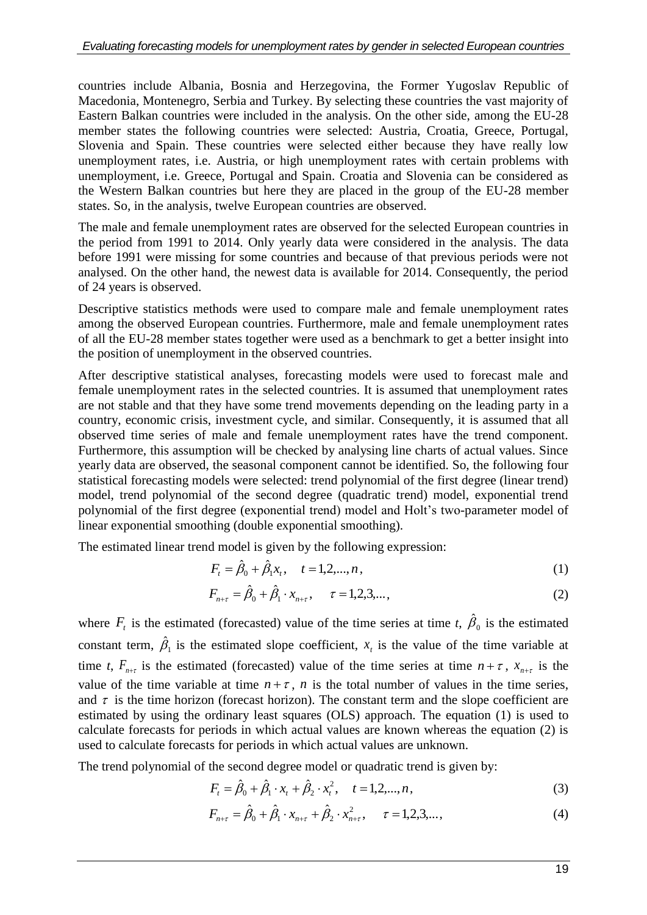countries include Albania, Bosnia and Herzegovina, the Former Yugoslav Republic of Macedonia, Montenegro, Serbia and Turkey. By selecting these countries the vast majority of Eastern Balkan countries were included in the analysis. On the other side, among the EU-28 member states the following countries were selected: Austria, Croatia, Greece, Portugal, Slovenia and Spain. These countries were selected either because they have really low unemployment rates, i.e. Austria, or high unemployment rates with certain problems with unemployment, i.e. Greece, Portugal and Spain. Croatia and Slovenia can be considered as the Western Balkan countries but here they are placed in the group of the EU-28 member states. So, in the analysis, twelve European countries are observed.

The male and female unemployment rates are observed for the selected European countries in the period from 1991 to 2014. Only yearly data were considered in the analysis. The data before 1991 were missing for some countries and because of that previous periods were not analysed. On the other hand, the newest data is available for 2014. Consequently, the period of 24 years is observed.

Descriptive statistics methods were used to compare male and female unemployment rates among the observed European countries. Furthermore, male and female unemployment rates of all the EU-28 member states together were used as a benchmark to get a better insight into the position of unemployment in the observed countries.

After descriptive statistical analyses, forecasting models were used to forecast male and female unemployment rates in the selected countries. It is assumed that unemployment rates are not stable and that they have some trend movements depending on the leading party in a country, economic crisis, investment cycle, and similar. Consequently, it is assumed that all observed time series of male and female unemployment rates have the trend component. Furthermore, this assumption will be checked by analysing line charts of actual values. Since yearly data are observed, the seasonal component cannot be identified. So, the following four statistical forecasting models were selected: trend polynomial of the first degree (linear trend) model, trend polynomial of the second degree (quadratic trend) model, exponential trend polynomial of the first degree (exponential trend) model and Holt's two-parameter model of linear exponential smoothing (double exponential smoothing).

The estimated linear trend model is given by the following expression:

$$
F_t = \hat{\beta}_0 + \hat{\beta}_1 x_t, \quad t = 1, 2, ..., n,
$$
\n(1)

$$
F_{n+\tau} = \hat{\beta}_0 + \hat{\beta}_1 \cdot x_{n+\tau}, \qquad \tau = 1, 2, 3, \dots,
$$
 (2)

where  $F_t$  is the estimated (forecasted) value of the time series at time *t*,  $\hat{\beta}_0$  is the estimated constant term,  $\beta_1$  $\hat{\beta}_1$  is the estimated slope coefficient,  $x_t$  is the value of the time variable at time *t*,  $F_{n+\tau}$  is the estimated (forecasted) value of the time series at time  $n+\tau$ ,  $x_{n+\tau}$  is the value of the time variable at time  $n + \tau$ , *n* is the total number of values in the time series, and  $\tau$  is the time horizon (forecast horizon). The constant term and the slope coefficient are estimated by using the ordinary least squares (OLS) approach. The equation (1) is used to calculate forecasts for periods in which actual values are known whereas the equation (2) is used to calculate forecasts for periods in which actual values are unknown.

The trend polynomial of the second degree model or quadratic trend is given by:

$$
F_t = \hat{\beta}_0 + \hat{\beta}_1 \cdot x_t + \hat{\beta}_2 \cdot x_t^2, \quad t = 1, 2, ..., n,
$$
 (3)

$$
F_{n+\tau} = \hat{\beta}_0 + \hat{\beta}_1 \cdot x_{n+\tau} + \hat{\beta}_2 \cdot x_{n+\tau}^2, \quad \tau = 1, 2, 3, \dots,
$$
 (4)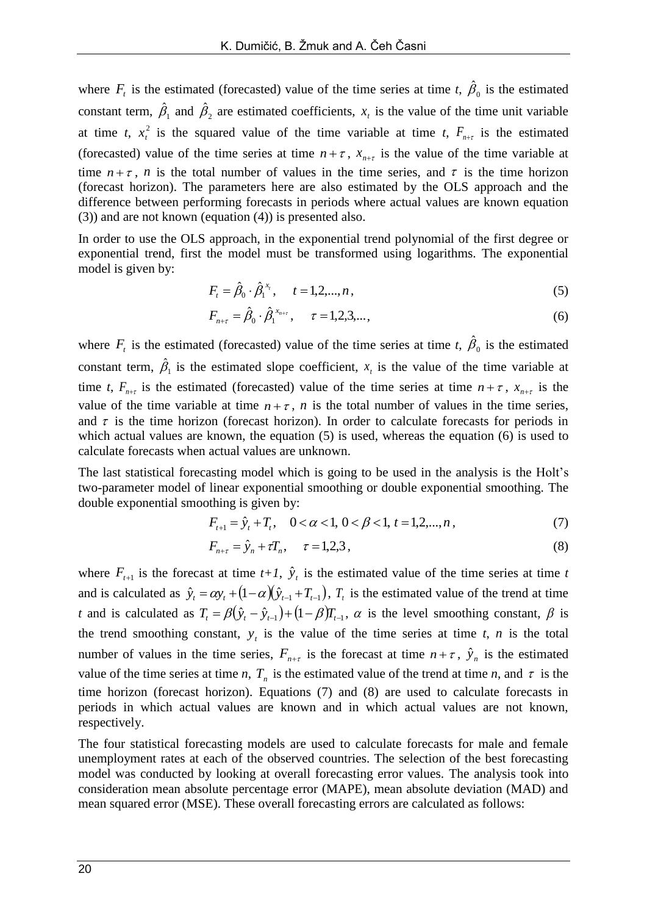where  $F_t$  is the estimated (forecasted) value of the time series at time *t*,  $\hat{\beta}_0$  is the estimated constant term,  $\beta_1$  $\hat{\beta}_1$  and  $\hat{\beta}_2$  are estimated coefficients,  $x_t$  is the value of the time unit variable at time *t*,  $x_t^2$  $x_t^2$  is the squared value of the time variable at time *t*,  $F_{n+t}$  is the estimated (forecasted) value of the time series at time  $n + \tau$ ,  $x_{n+\tau}$  is the value of the time variable at time  $n + \tau$ , *n* is the total number of values in the time series, and  $\tau$  is the time horizon (forecast horizon). The parameters here are also estimated by the OLS approach and the difference between performing forecasts in periods where actual values are known equation (3)) and are not known (equation (4)) is presented also.

In order to use the OLS approach, in the exponential trend polynomial of the first degree or exponential trend, first the model must be transformed using logarithms. The exponential model is given by:

$$
F_t = \hat{\beta}_0 \cdot \hat{\beta}_1^{x_t}, \quad t = 1, 2, ..., n,
$$
\n(5)

$$
F_{n+\tau} = \hat{\beta}_0 \cdot \hat{\beta}_1^{x_{n+\tau}}, \quad \tau = 1, 2, 3, \dots,
$$
 (6)

where  $F_t$  is the estimated (forecasted) value of the time series at time *t*,  $\hat{\beta}_0$  is the estimated constant term,  $\beta_1$  $\hat{\beta}_1$  is the estimated slope coefficient,  $x<sub>t</sub>$  is the value of the time variable at time *t*,  $F_{n+\tau}$  is the estimated (forecasted) value of the time series at time  $n+\tau$ ,  $x_{n+\tau}$  is the value of the time variable at time  $n + \tau$ , *n* is the total number of values in the time series, and  $\tau$  is the time horizon (forecast horizon). In order to calculate forecasts for periods in which actual values are known, the equation (5) is used, whereas the equation (6) is used to calculate forecasts when actual values are unknown.

The last statistical forecasting model which is going to be used in the analysis is the Holt's two-parameter model of linear exponential smoothing or double exponential smoothing. The double exponential smoothing is given by:

$$
F_{t+1} = \hat{y}_t + T_t, \quad 0 < \alpha < 1, 0 < \beta < 1, t = 1, 2, \dots, n,
$$
\n<sup>(7)</sup>

$$
F_{n+\tau} = \hat{y}_n + \tau T_n, \quad \tau = 1, 2, 3,
$$
\n(8)

where  $F_{t+1}$  is the forecast at time  $t+1$ ,  $\hat{y}_t$  is the estimated value of the time series at time *t* and is calculated as  $\hat{y}_t = \alpha y_t + (1 - \alpha)(\hat{y}_{t-1} + T_{t-1})$ ,  $T_t$  is the estimated value of the trend at time *t* and is calculated as  $T_t = \beta(\hat{y}_t - \hat{y}_{t-1}) + (1 - \beta)T_{t-1}$ ,  $\alpha$  is the level smoothing constant,  $\beta$  is the trend smoothing constant,  $y_t$  is the value of the time series at time *t*, *n* is the total number of values in the time series,  $F_{n+\tau}$  is the forecast at time  $n+\tau$ ,  $\hat{y}_n$  is the estimated value of the time series at time *n*,  $T<sub>n</sub>$  is the estimated value of the trend at time *n*, and  $\tau$  is the time horizon (forecast horizon). Equations (7) and (8) are used to calculate forecasts in periods in which actual values are known and in which actual values are not known, respectively.

The four statistical forecasting models are used to calculate forecasts for male and female unemployment rates at each of the observed countries. The selection of the best forecasting model was conducted by looking at overall forecasting error values. The analysis took into consideration mean absolute percentage error (MAPE), mean absolute deviation (MAD) and mean squared error (MSE). These overall forecasting errors are calculated as follows: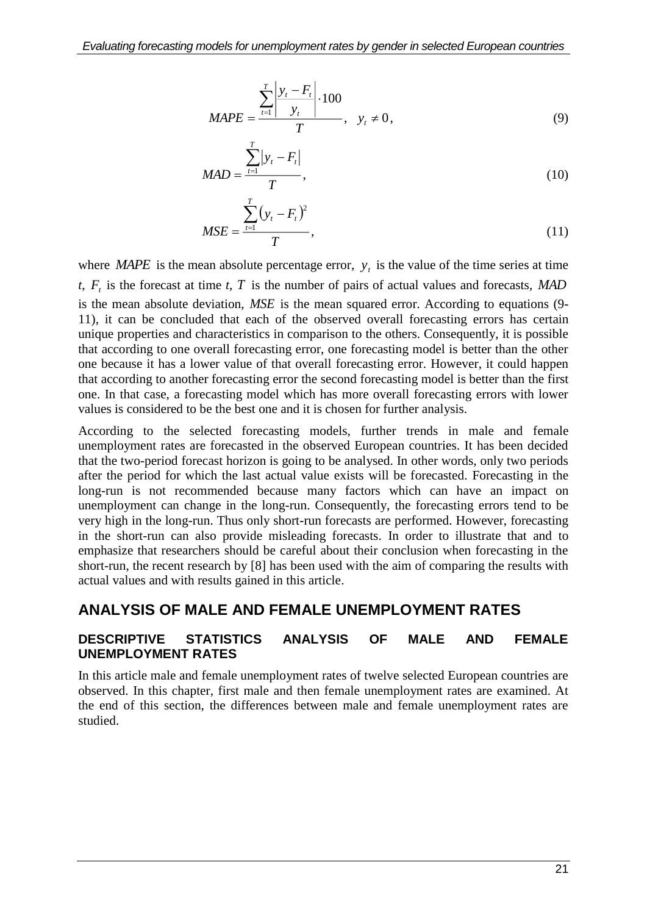$$
MAPE = \frac{\sum_{t=1}^{T} \left| \frac{y_t - F_t}{y_t} \right| \cdot 100}{T}, \quad y_t \neq 0,
$$
\n(9)

$$
MAD = \frac{\sum_{t=1}^{T} |y_t - F_t|}{T},
$$
\n(10)

$$
MSE = \frac{\sum_{t=1}^{T} (y_t - F_t)^2}{T},
$$
\n(11)

where *MAPE* is the mean absolute percentage error,  $y_t$  is the value of the time series at time *t*, *F<sup>t</sup>* is the forecast at time *t*, *<sup>T</sup>* is the number of pairs of actual values and forecasts, *MAD* is the mean absolute deviation, *MSE* is the mean squared error. According to equations (9- 11), it can be concluded that each of the observed overall forecasting errors has certain unique properties and characteristics in comparison to the others. Consequently, it is possible that according to one overall forecasting error, one forecasting model is better than the other one because it has a lower value of that overall forecasting error. However, it could happen that according to another forecasting error the second forecasting model is better than the first one. In that case, a forecasting model which has more overall forecasting errors with lower values is considered to be the best one and it is chosen for further analysis.

According to the selected forecasting models, further trends in male and female unemployment rates are forecasted in the observed European countries. It has been decided that the two-period forecast horizon is going to be analysed. In other words, only two periods after the period for which the last actual value exists will be forecasted. Forecasting in the long-run is not recommended because many factors which can have an impact on unemployment can change in the long-run. Consequently, the forecasting errors tend to be very high in the long-run. Thus only short-run forecasts are performed. However, forecasting in the short-run can also provide misleading forecasts. In order to illustrate that and to emphasize that researchers should be careful about their conclusion when forecasting in the short-run, the recent research by [8] has been used with the aim of comparing the results with actual values and with results gained in this article.

### **ANALYSIS OF MALE AND FEMALE UNEMPLOYMENT RATES**

#### **DESCRIPTIVE STATISTICS ANALYSIS OF MALE AND FEMALE UNEMPLOYMENT RATES**

In this article male and female unemployment rates of twelve selected European countries are observed. In this chapter, first male and then female unemployment rates are examined. At the end of this section, the differences between male and female unemployment rates are studied.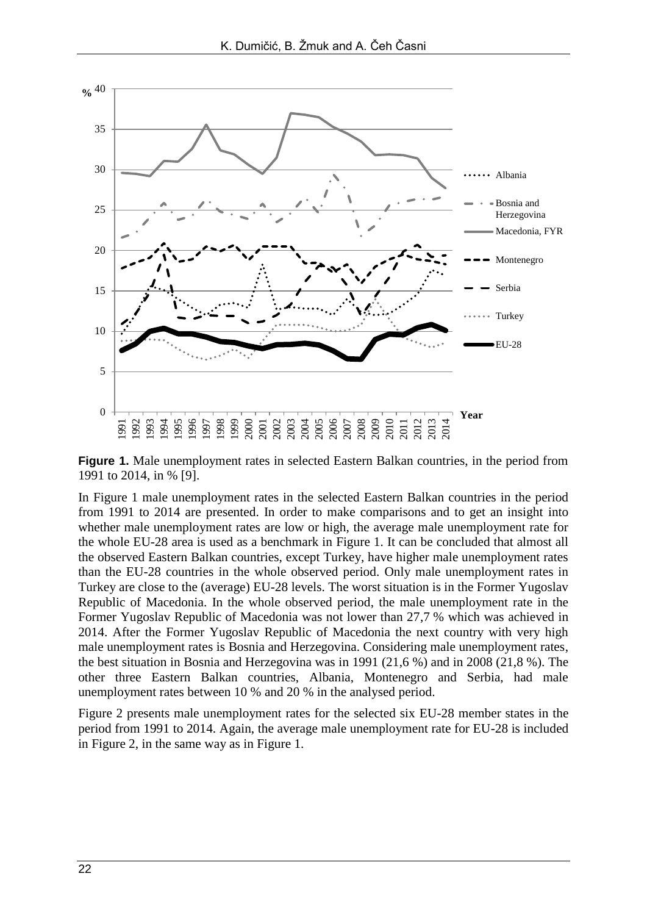

**Figure 1.** Male unemployment rates in selected Eastern Balkan countries, in the period from 1991 to 2014, in % [9].

In Figure 1 male unemployment rates in the selected Eastern Balkan countries in the period from 1991 to 2014 are presented. In order to make comparisons and to get an insight into whether male unemployment rates are low or high, the average male unemployment rate for the whole EU-28 area is used as a benchmark in Figure 1. It can be concluded that almost all the observed Eastern Balkan countries, except Turkey, have higher male unemployment rates than the EU-28 countries in the whole observed period. Only male unemployment rates in Turkey are close to the (average) EU-28 levels. The worst situation is in the Former Yugoslav Republic of Macedonia. In the whole observed period, the male unemployment rate in the Former Yugoslav Republic of Macedonia was not lower than 27,7 % which was achieved in 2014. After the Former Yugoslav Republic of Macedonia the next country with very high male unemployment rates is Bosnia and Herzegovina. Considering male unemployment rates, the best situation in Bosnia and Herzegovina was in 1991 (21,6 %) and in 2008 (21,8 %). The other three Eastern Balkan countries, Albania, Montenegro and Serbia, had male unemployment rates between 10 % and 20 % in the analysed period.

Figure 2 presents male unemployment rates for the selected six EU-28 member states in the period from 1991 to 2014. Again, the average male unemployment rate for EU-28 is included in Figure 2, in the same way as in Figure 1.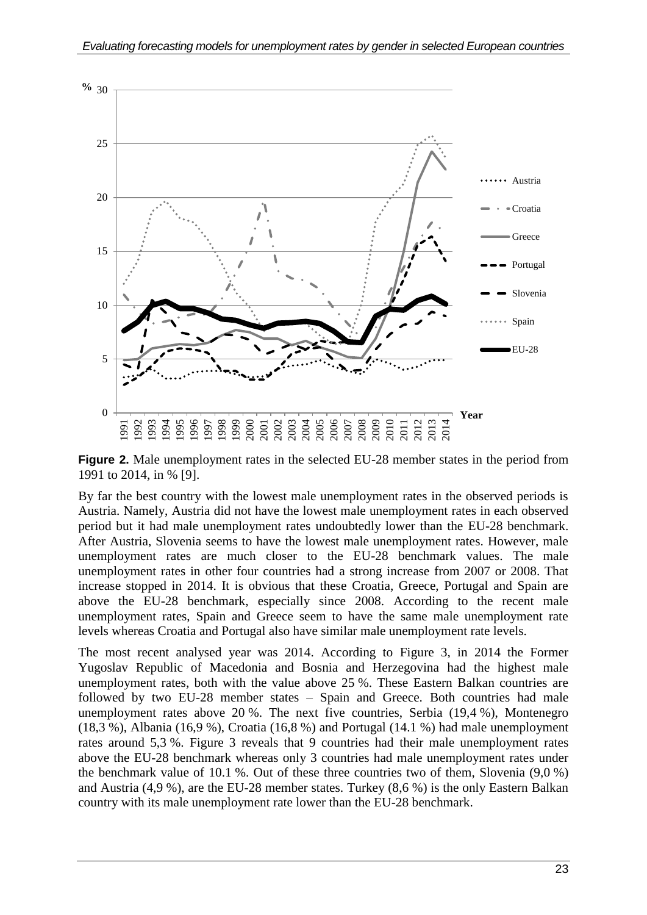

**Figure 2.** Male unemployment rates in the selected EU-28 member states in the period from 1991 to 2014, in % [9].

By far the best country with the lowest male unemployment rates in the observed periods is Austria. Namely, Austria did not have the lowest male unemployment rates in each observed period but it had male unemployment rates undoubtedly lower than the EU-28 benchmark. After Austria, Slovenia seems to have the lowest male unemployment rates. However, male unemployment rates are much closer to the EU-28 benchmark values. The male unemployment rates in other four countries had a strong increase from 2007 or 2008. That increase stopped in 2014. It is obvious that these Croatia, Greece, Portugal and Spain are above the EU-28 benchmark, especially since 2008. According to the recent male unemployment rates, Spain and Greece seem to have the same male unemployment rate levels whereas Croatia and Portugal also have similar male unemployment rate levels.

The most recent analysed year was 2014. According to Figure 3, in 2014 the Former Yugoslav Republic of Macedonia and Bosnia and Herzegovina had the highest male unemployment rates, both with the value above 25 %. These Eastern Balkan countries are followed by two EU-28 member states – Spain and Greece. Both countries had male unemployment rates above 20 %. The next five countries, Serbia (19,4 %), Montenegro (18,3 %), Albania (16,9 %), Croatia (16,8 %) and Portugal (14.1 %) had male unemployment rates around 5,3 %. Figure 3 reveals that 9 countries had their male unemployment rates above the EU-28 benchmark whereas only 3 countries had male unemployment rates under the benchmark value of 10.1 %. Out of these three countries two of them, Slovenia (9,0 %) and Austria (4,9 %), are the EU-28 member states. Turkey (8,6 %) is the only Eastern Balkan country with its male unemployment rate lower than the EU-28 benchmark.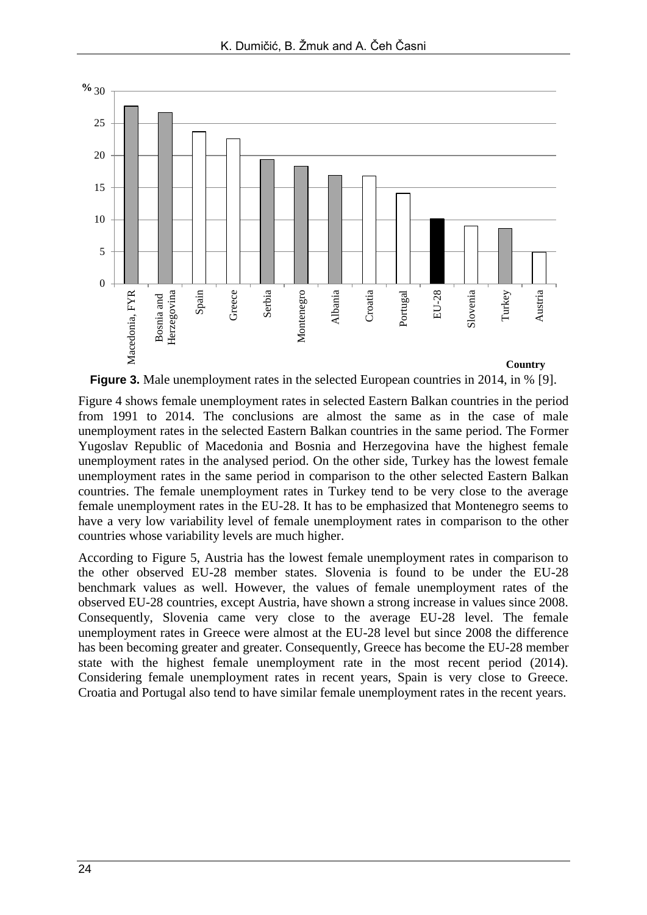

**Figure 3.** Male unemployment rates in the selected European countries in 2014, in % [9].

Figure 4 shows female unemployment rates in selected Eastern Balkan countries in the period from 1991 to 2014. The conclusions are almost the same as in the case of male unemployment rates in the selected Eastern Balkan countries in the same period. The Former Yugoslav Republic of Macedonia and Bosnia and Herzegovina have the highest female unemployment rates in the analysed period. On the other side, Turkey has the lowest female unemployment rates in the same period in comparison to the other selected Eastern Balkan countries. The female unemployment rates in Turkey tend to be very close to the average female unemployment rates in the EU-28. It has to be emphasized that Montenegro seems to have a very low variability level of female unemployment rates in comparison to the other countries whose variability levels are much higher.

According to Figure 5, Austria has the lowest female unemployment rates in comparison to the other observed EU-28 member states. Slovenia is found to be under the EU-28 benchmark values as well. However, the values of female unemployment rates of the observed EU-28 countries, except Austria, have shown a strong increase in values since 2008. Consequently, Slovenia came very close to the average EU-28 level. The female unemployment rates in Greece were almost at the EU-28 level but since 2008 the difference has been becoming greater and greater. Consequently, Greece has become the EU-28 member state with the highest female unemployment rate in the most recent period (2014). Considering female unemployment rates in recent years, Spain is very close to Greece. Croatia and Portugal also tend to have similar female unemployment rates in the recent years.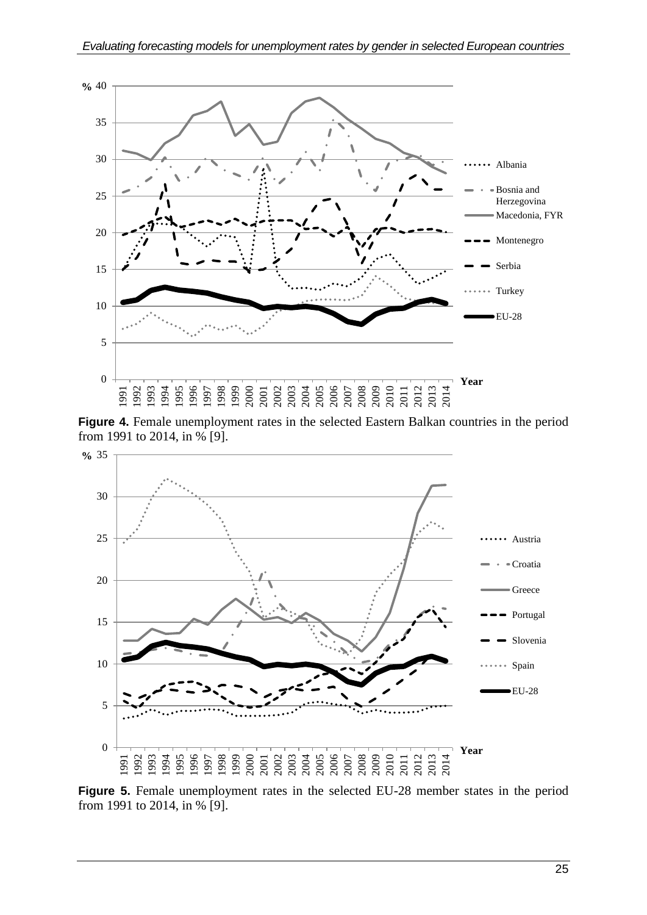

**Figure 4.** Female unemployment rates in the selected Eastern Balkan countries in the period from 1991 to 2014, in % [9].



**Figure 5.** Female unemployment rates in the selected EU-28 member states in the period from 1991 to 2014, in % [9].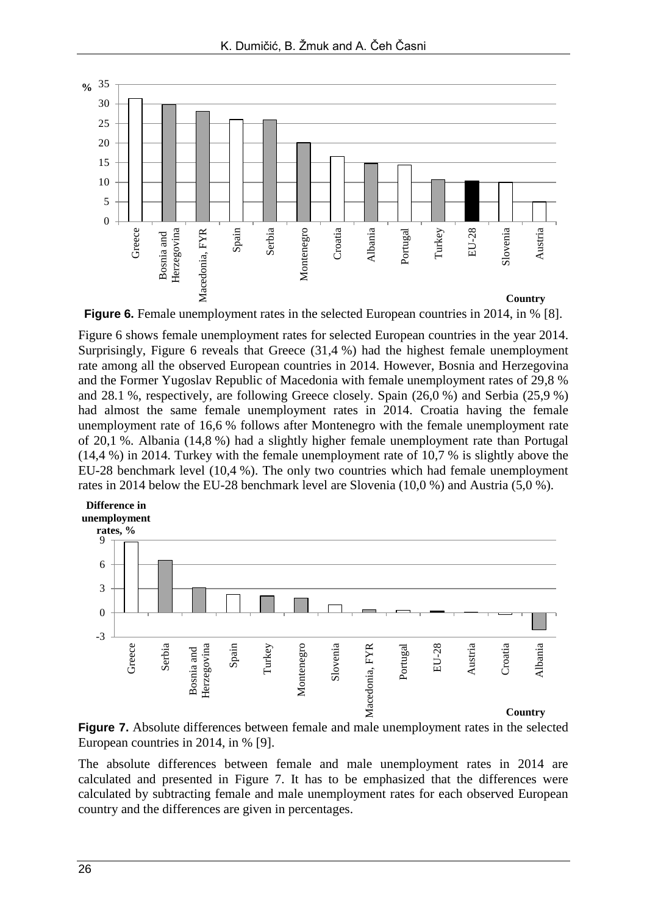

**Figure 6.** Female unemployment rates in the selected European countries in 2014, in % [8].

Figure 6 shows female unemployment rates for selected European countries in the year 2014. Surprisingly, Figure 6 reveals that Greece (31,4 %) had the highest female unemployment rate among all the observed European countries in 2014. However, Bosnia and Herzegovina and the Former Yugoslav Republic of Macedonia with female unemployment rates of 29,8 % and 28.1 %, respectively, are following Greece closely. Spain (26,0 %) and Serbia (25,9 %) had almost the same female unemployment rates in 2014. Croatia having the female unemployment rate of 16,6 % follows after Montenegro with the female unemployment rate of 20,1 %. Albania (14,8 %) had a slightly higher female unemployment rate than Portugal (14,4 %) in 2014. Turkey with the female unemployment rate of 10,7 % is slightly above the EU-28 benchmark level (10,4 %). The only two countries which had female unemployment rates in 2014 below the EU-28 benchmark level are Slovenia (10,0 %) and Austria (5,0 %).



**Figure 7.** Absolute differences between female and male unemployment rates in the selected European countries in 2014, in % [9].

The absolute differences between female and male unemployment rates in 2014 are calculated and presented in Figure 7. It has to be emphasized that the differences were calculated by subtracting female and male unemployment rates for each observed European country and the differences are given in percentages.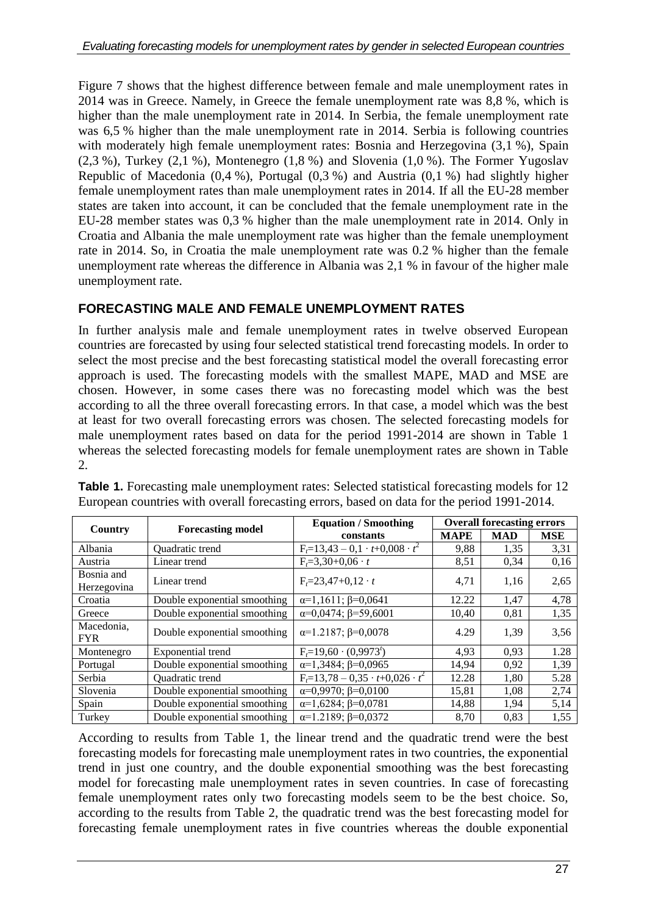Figure 7 shows that the highest difference between female and male unemployment rates in 2014 was in Greece. Namely, in Greece the female unemployment rate was 8,8 %, which is higher than the male unemployment rate in 2014. In Serbia, the female unemployment rate was 6,5 % higher than the male unemployment rate in 2014. Serbia is following countries with moderately high female unemployment rates: Bosnia and Herzegovina  $(3,1\%)$ , Spain  $(2,3\%)$ , Turkey  $(2,1\%)$ , Montenegro  $(1,8\%)$  and Slovenia  $(1,0\%)$ . The Former Yugoslav Republic of Macedonia (0,4 %), Portugal (0,3 %) and Austria (0,1 %) had slightly higher female unemployment rates than male unemployment rates in 2014. If all the EU-28 member states are taken into account, it can be concluded that the female unemployment rate in the EU-28 member states was 0,3 % higher than the male unemployment rate in 2014. Only in Croatia and Albania the male unemployment rate was higher than the female unemployment rate in 2014. So, in Croatia the male unemployment rate was 0.2 % higher than the female unemployment rate whereas the difference in Albania was 2,1 % in favour of the higher male unemployment rate.

### **FORECASTING MALE AND FEMALE UNEMPLOYMENT RATES**

In further analysis male and female unemployment rates in twelve observed European countries are forecasted by using four selected statistical trend forecasting models. In order to select the most precise and the best forecasting statistical model the overall forecasting error approach is used. The forecasting models with the smallest MAPE, MAD and MSE are chosen. However, in some cases there was no forecasting model which was the best according to all the three overall forecasting errors. In that case, a model which was the best at least for two overall forecasting errors was chosen. The selected forecasting models for male unemployment rates based on data for the period 1991-2014 are shown in Table 1 whereas the selected forecasting models for female unemployment rates are shown in Table 2.

| Country                   | <b>Forecasting model</b>     | <b>Equation / Smoothing</b>                   | <b>Overall forecasting errors</b> |            |            |  |
|---------------------------|------------------------------|-----------------------------------------------|-----------------------------------|------------|------------|--|
|                           |                              | constants                                     | <b>MAPE</b>                       | <b>MAD</b> | <b>MSE</b> |  |
| Albania                   | Quadratic trend              | $F_t = 13,43 - 0,1 \cdot t + 0,008 \cdot t^2$ | 9,88                              | 1,35       | 3,31       |  |
| Austria                   | Linear trend                 | $F_t = 3,30+0,06 \cdot t$                     | 8,51                              | 0,34       | 0,16       |  |
| Bosnia and<br>Herzegovina | Linear trend                 | $F_r = 23,47+0,12 \cdot t$                    | 4,71                              | 1,16       | 2,65       |  |
| Croatia                   | Double exponential smoothing | $\alpha=1,1611; \beta=0,0641$                 | 12.22                             | 1,47       | 4,78       |  |
| Greece                    | Double exponential smoothing | $\alpha = 0.0474$ ; $\beta = 59,6001$         | 10,40                             | 0,81       | 1,35       |  |
| Macedonia.<br><b>FYR</b>  | Double exponential smoothing | $\alpha=1.2187; \beta=0.0078$                 | 4.29                              | 1.39       | 3,56       |  |
| Montenegro                | Exponential trend            | $F_1=19,60 \cdot (0.9973)$                    | 4,93                              | 0.93       | 1.28       |  |
| Portugal                  | Double exponential smoothing | $\alpha=1,3484; \beta=0,0965$                 | 14.94                             | 0.92       | 1,39       |  |
| Serbia                    | Quadratic trend              | $F_t=13,78-0,35 \cdot t+0,026 \cdot t^2$      | 12.28                             | 1,80       | 5.28       |  |
| Slovenia                  | Double exponential smoothing | $\alpha=0.9970; \beta=0.0100$                 | 15,81                             | 1,08       | 2,74       |  |
| Spain                     | Double exponential smoothing | $\alpha=1,6284; \beta=0,0781$                 | 14,88                             | 1,94       | 5,14       |  |
| Turkey                    | Double exponential smoothing | $\alpha=1.2189; \beta=0.0372$                 | 8.70                              | 0.83       | 1,55       |  |

**Table 1.** Forecasting male unemployment rates: Selected statistical forecasting models for 12 European countries with overall forecasting errors, based on data for the period 1991-2014.

According to results from Table 1, the linear trend and the quadratic trend were the best forecasting models for forecasting male unemployment rates in two countries, the exponential trend in just one country, and the double exponential smoothing was the best forecasting model for forecasting male unemployment rates in seven countries. In case of forecasting female unemployment rates only two forecasting models seem to be the best choice. So, according to the results from Table 2, the quadratic trend was the best forecasting model for forecasting female unemployment rates in five countries whereas the double exponential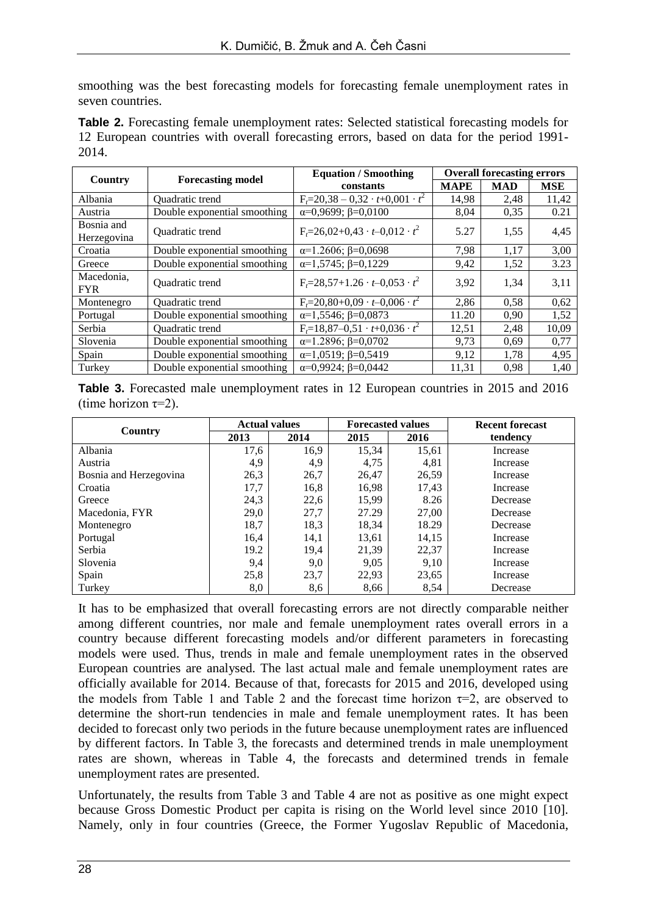smoothing was the best forecasting models for forecasting female unemployment rates in seven countries.

**Table 2.** Forecasting female unemployment rates: Selected statistical forecasting models for 12 European countries with overall forecasting errors, based on data for the period 1991- 2014.

| Country                   | <b>Forecasting model</b>     | <b>Equation / Smoothing</b>                    | <b>Overall forecasting errors</b> |            |            |  |
|---------------------------|------------------------------|------------------------------------------------|-----------------------------------|------------|------------|--|
|                           |                              | constants                                      | <b>MAPE</b>                       | <b>MAD</b> | <b>MSE</b> |  |
| Albania                   | Quadratic trend              | $F_t = 20,38 - 0,32 \cdot t + 0,001 \cdot t^2$ | 14,98                             | 2,48       | 11,42      |  |
| Austria                   | Double exponential smoothing | $\alpha=0.9699; \beta=0.0100$                  | 8,04                              | 0.35       | 0.21       |  |
| Bosnia and<br>Herzegovina | Quadratic trend              | $F_t = 26.02 + 0.43 \cdot t - 0.012 \cdot t^2$ | 5.27                              | 1.55       | 4,45       |  |
| Croatia                   | Double exponential smoothing | $\alpha=1.2606; \beta=0.0698$                  | 7,98                              | 1,17       | 3,00       |  |
| Greece                    | Double exponential smoothing | $\alpha=1,5745; \beta=0,1229$                  | 9,42                              | 1,52       | 3.23       |  |
| Macedonia.<br><b>FYR</b>  | Quadratic trend              | $F_t = 28,57+1.26 \cdot t - 0,053 \cdot t^2$   | 3.92                              | 1,34       | 3,11       |  |
| Montenegro                | Quadratic trend              | $F_t = 20,80+0,09 \cdot t - 0,006 \cdot t^2$   | 2,86                              | 0,58       | 0,62       |  |
| Portugal                  | Double exponential smoothing | $\alpha=1,5546; \beta=0,0873$                  | 11.20                             | 0.90       | 1,52       |  |
| Serbia                    | Quadratic trend              | $F_t=18,87-0,51 \cdot t+0,036 \cdot t^2$       | 12,51                             | 2,48       | 10,09      |  |
| Slovenia                  | Double exponential smoothing | $\alpha=1.2896; \beta=0.0702$                  | 9,73                              | 0.69       | 0,77       |  |
| Spain                     | Double exponential smoothing | $\alpha=1,0519; \beta=0,5419$                  | 9,12                              | 1,78       | 4,95       |  |
| Turkey                    | Double exponential smoothing | $\alpha=0.9924$ ; $\beta=0.0442$               | 11,31                             | 0.98       | 1,40       |  |

**Table 3.** Forecasted male unemployment rates in 12 European countries in 2015 and 2016 (time horizon  $\tau=2$ ).

|                        |      | <b>Actual values</b><br><b>Forecasted values</b> |       |       | <b>Recent forecast</b> |
|------------------------|------|--------------------------------------------------|-------|-------|------------------------|
| Country                | 2013 | 2014                                             | 2015  | 2016  | tendency               |
| Albania                | 17,6 | 16,9                                             | 15,34 | 15,61 | Increase               |
| Austria                | 4,9  | 4,9                                              | 4,75  | 4,81  | Increase               |
| Bosnia and Herzegovina | 26,3 | 26,7                                             | 26,47 | 26,59 | Increase               |
| Croatia                | 17,7 | 16,8                                             | 16,98 | 17,43 | Increase               |
| Greece                 | 24,3 | 22,6                                             | 15,99 | 8.26  | Decrease               |
| Macedonia, FYR         | 29,0 | 27,7                                             | 27.29 | 27.00 | Decrease               |
| Montenegro             | 18,7 | 18,3                                             | 18,34 | 18.29 | Decrease               |
| Portugal               | 16,4 | 14,1                                             | 13,61 | 14,15 | Increase               |
| Serbia                 | 19.2 | 19,4                                             | 21,39 | 22,37 | Increase               |
| Slovenia               | 9,4  | 9,0                                              | 9,05  | 9,10  | Increase               |
| Spain                  | 25,8 | 23,7                                             | 22,93 | 23,65 | Increase               |
| Turkey                 | 8,0  | 8,6                                              | 8,66  | 8,54  | Decrease               |

It has to be emphasized that overall forecasting errors are not directly comparable neither among different countries, nor male and female unemployment rates overall errors in a country because different forecasting models and/or different parameters in forecasting models were used. Thus, trends in male and female unemployment rates in the observed European countries are analysed. The last actual male and female unemployment rates are officially available for 2014. Because of that, forecasts for 2015 and 2016, developed using the models from Table 1 and Table 2 and the forecast time horizon  $\tau=2$ , are observed to determine the short-run tendencies in male and female unemployment rates. It has been decided to forecast only two periods in the future because unemployment rates are influenced by different factors. In Table 3, the forecasts and determined trends in male unemployment rates are shown, whereas in Table 4, the forecasts and determined trends in female unemployment rates are presented.

Unfortunately, the results from Table 3 and Table 4 are not as positive as one might expect because Gross Domestic Product per capita is rising on the World level since 2010 [10]. Namely, only in four countries (Greece, the Former Yugoslav Republic of Macedonia,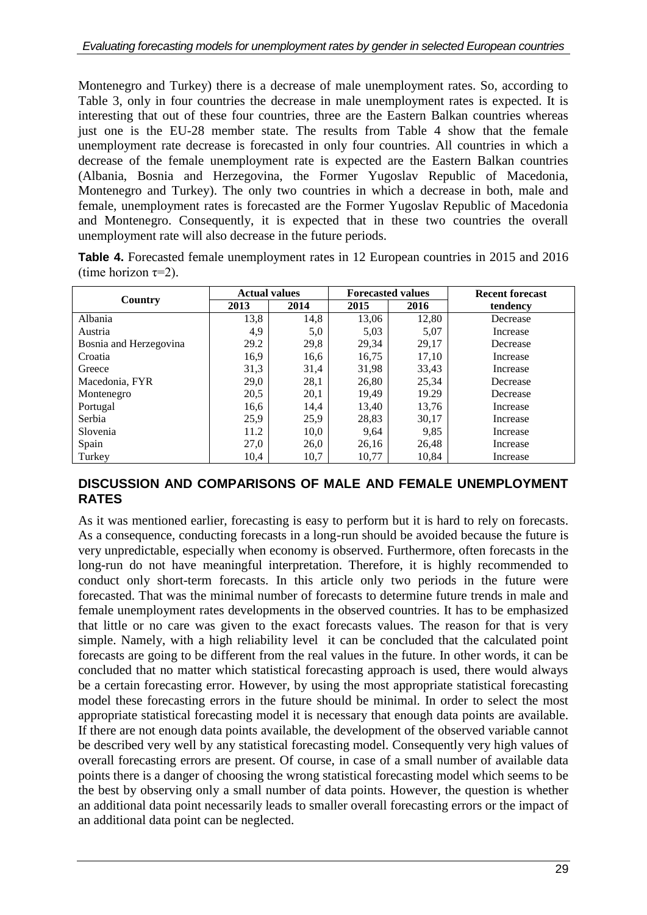Montenegro and Turkey) there is a decrease of male unemployment rates. So, according to Table 3, only in four countries the decrease in male unemployment rates is expected. It is interesting that out of these four countries, three are the Eastern Balkan countries whereas just one is the EU-28 member state. The results from Table 4 show that the female unemployment rate decrease is forecasted in only four countries. All countries in which a decrease of the female unemployment rate is expected are the Eastern Balkan countries (Albania, Bosnia and Herzegovina, the Former Yugoslav Republic of Macedonia, Montenegro and Turkey). The only two countries in which a decrease in both, male and female, unemployment rates is forecasted are the Former Yugoslav Republic of Macedonia and Montenegro. Consequently, it is expected that in these two countries the overall unemployment rate will also decrease in the future periods.

**Table 4.** Forecasted female unemployment rates in 12 European countries in 2015 and 2016 (time horizon  $\tau=2$ ).

|                        | <b>Actual values</b> |      |       | <b>Forecasted values</b> | <b>Recent forecast</b> |  |
|------------------------|----------------------|------|-------|--------------------------|------------------------|--|
| Country                | 2013                 | 2014 | 2015  | 2016                     | tendency               |  |
| Albania                | 13,8                 | 14,8 | 13,06 | 12,80                    | Decrease               |  |
| Austria                | 4,9                  | 5,0  | 5,03  | 5,07                     | Increase               |  |
| Bosnia and Herzegovina | 29.2                 | 29,8 | 29,34 | 29,17                    | Decrease               |  |
| Croatia                | 16,9                 | 16,6 | 16,75 | 17,10                    | Increase               |  |
| Greece                 | 31,3                 | 31,4 | 31,98 | 33,43                    | Increase               |  |
| Macedonia, FYR         | 29,0                 | 28,1 | 26,80 | 25,34                    | Decrease               |  |
| Montenegro             | 20,5                 | 20,1 | 19,49 | 19.29                    | Decrease               |  |
| Portugal               | 16,6                 | 14,4 | 13,40 | 13,76                    | Increase               |  |
| Serbia                 | 25,9                 | 25,9 | 28,83 | 30,17                    | Increase               |  |
| Slovenia               | 11.2                 | 10,0 | 9,64  | 9,85                     | Increase               |  |
| Spain                  | 27,0                 | 26,0 | 26,16 | 26,48                    | Increase               |  |
| Turkey                 | 10,4                 | 10,7 | 10,77 | 10,84                    | Increase               |  |

#### **DISCUSSION AND COMPARISONS OF MALE AND FEMALE UNEMPLOYMENT RATES**

As it was mentioned earlier, forecasting is easy to perform but it is hard to rely on forecasts. As a consequence, conducting forecasts in a long-run should be avoided because the future is very unpredictable, especially when economy is observed. Furthermore, often forecasts in the long-run do not have meaningful interpretation. Therefore, it is highly recommended to conduct only short-term forecasts. In this article only two periods in the future were forecasted. That was the minimal number of forecasts to determine future trends in male and female unemployment rates developments in the observed countries. It has to be emphasized that little or no care was given to the exact forecasts values. The reason for that is very simple. Namely, with a high reliability level it can be concluded that the calculated point forecasts are going to be different from the real values in the future. In other words, it can be concluded that no matter which statistical forecasting approach is used, there would always be a certain forecasting error. However, by using the most appropriate statistical forecasting model these forecasting errors in the future should be minimal. In order to select the most appropriate statistical forecasting model it is necessary that enough data points are available. If there are not enough data points available, the development of the observed variable cannot be described very well by any statistical forecasting model. Consequently very high values of overall forecasting errors are present. Of course, in case of a small number of available data points there is a danger of choosing the wrong statistical forecasting model which seems to be the best by observing only a small number of data points. However, the question is whether an additional data point necessarily leads to smaller overall forecasting errors or the impact of an additional data point can be neglected.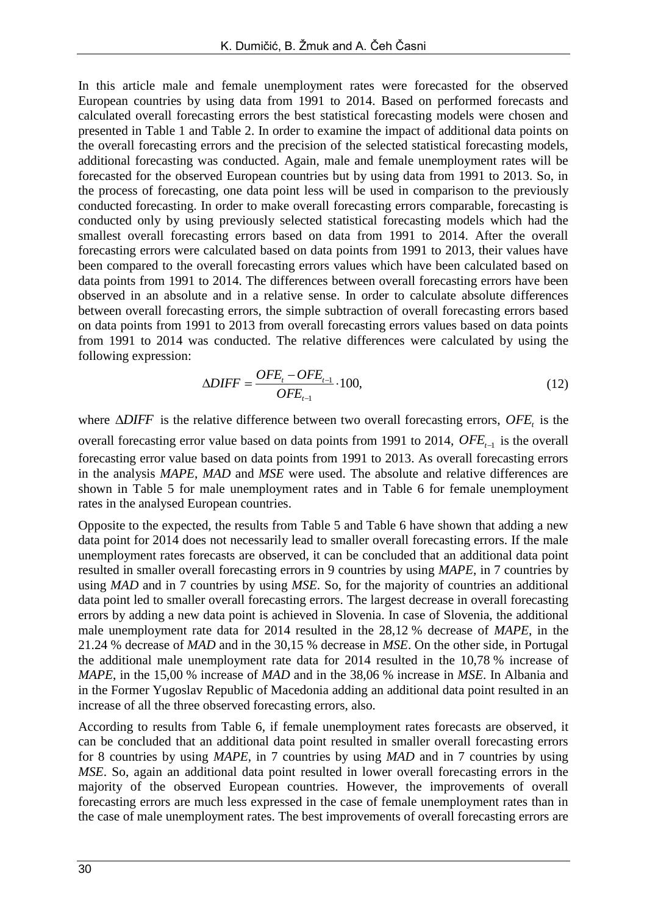In this article male and female unemployment rates were forecasted for the observed European countries by using data from 1991 to 2014. Based on performed forecasts and calculated overall forecasting errors the best statistical forecasting models were chosen and presented in Table 1 and Table 2. In order to examine the impact of additional data points on the overall forecasting errors and the precision of the selected statistical forecasting models, additional forecasting was conducted. Again, male and female unemployment rates will be forecasted for the observed European countries but by using data from 1991 to 2013. So, in the process of forecasting, one data point less will be used in comparison to the previously conducted forecasting. In order to make overall forecasting errors comparable, forecasting is conducted only by using previously selected statistical forecasting models which had the smallest overall forecasting errors based on data from 1991 to 2014. After the overall forecasting errors were calculated based on data points from 1991 to 2013, their values have been compared to the overall forecasting errors values which have been calculated based on data points from 1991 to 2014. The differences between overall forecasting errors have been observed in an absolute and in a relative sense. In order to calculate absolute differences between overall forecasting errors, the simple subtraction of overall forecasting errors based on data points from 1991 to 2013 from overall forecasting errors values based on data points from 1991 to 2014 was conducted. The relative differences were calculated by using the following expression:

$$
\Delta DIFF = \frac{OFE_i - OFE_{t-1}}{OFE_{t-1}} \cdot 100,\tag{12}
$$

where  $\triangle DIFF$  is the relative difference between two overall forecasting errors,  $OFE$ <sub>t</sub> is the overall forecasting error value based on data points from 1991 to 2014,  $OFE_{t-1}$  is the overall forecasting error value based on data points from 1991 to 2013. As overall forecasting errors in the analysis *MAPE*, *MAD* and *MSE* were used. The absolute and relative differences are shown in Table 5 for male unemployment rates and in Table 6 for female unemployment rates in the analysed European countries.

Opposite to the expected, the results from Table 5 and Table 6 have shown that adding a new data point for 2014 does not necessarily lead to smaller overall forecasting errors. If the male unemployment rates forecasts are observed, it can be concluded that an additional data point resulted in smaller overall forecasting errors in 9 countries by using *MAPE*, in 7 countries by using *MAD* and in 7 countries by using *MSE*. So, for the majority of countries an additional data point led to smaller overall forecasting errors. The largest decrease in overall forecasting errors by adding a new data point is achieved in Slovenia. In case of Slovenia, the additional male unemployment rate data for 2014 resulted in the 28,12 % decrease of *MAPE*, in the 21.24 % decrease of *MAD* and in the 30,15 % decrease in *MSE*. On the other side, in Portugal the additional male unemployment rate data for 2014 resulted in the 10,78 % increase of *MAPE*, in the 15,00 % increase of *MAD* and in the 38,06 % increase in *MSE*. In Albania and in the Former Yugoslav Republic of Macedonia adding an additional data point resulted in an increase of all the three observed forecasting errors, also.

According to results from Table 6, if female unemployment rates forecasts are observed, it can be concluded that an additional data point resulted in smaller overall forecasting errors for 8 countries by using *MAPE*, in 7 countries by using *MAD* and in 7 countries by using *MSE*. So, again an additional data point resulted in lower overall forecasting errors in the majority of the observed European countries. However, the improvements of overall forecasting errors are much less expressed in the case of female unemployment rates than in the case of male unemployment rates. The best improvements of overall forecasting errors are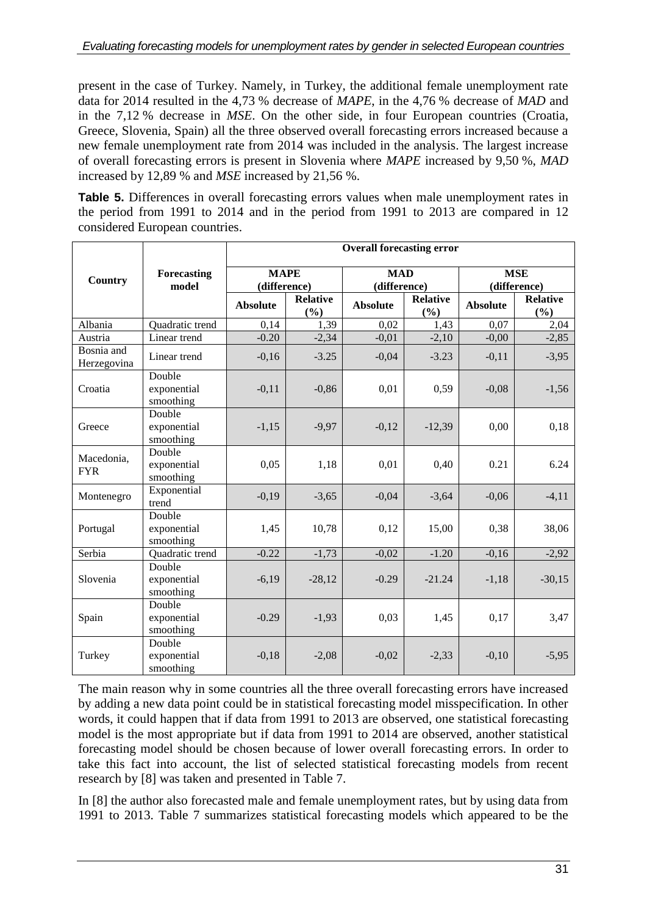present in the case of Turkey. Namely, in Turkey, the additional female unemployment rate data for 2014 resulted in the 4,73 % decrease of *MAPE*, in the 4,76 % decrease of *MAD* and in the 7,12 % decrease in *MSE*. On the other side, in four European countries (Croatia, Greece, Slovenia, Spain) all the three observed overall forecasting errors increased because a new female unemployment rate from 2014 was included in the analysis. The largest increase of overall forecasting errors is present in Slovenia where *MAPE* increased by 9,50 %, *MAD* increased by 12,89 % and *MSE* increased by 21,56 %.

**Table 5.** Differences in overall forecasting errors values when male unemployment rates in the period from 1991 to 2014 and in the period from 1991 to 2013 are compared in 12 considered European countries.

|                           |                                    | <b>Overall forecasting error</b> |                        |                 |                        |                 |                        |  |
|---------------------------|------------------------------------|----------------------------------|------------------------|-----------------|------------------------|-----------------|------------------------|--|
| Country                   | Forecasting                        | <b>MAPE</b>                      |                        | <b>MAD</b>      |                        | <b>MSE</b>      |                        |  |
|                           | model                              | (difference)                     |                        | (difference)    |                        | (difference)    |                        |  |
|                           |                                    | <b>Absolute</b>                  | <b>Relative</b><br>(%) | <b>Absolute</b> | <b>Relative</b><br>(%) | <b>Absolute</b> | <b>Relative</b><br>(%) |  |
| Albania                   | Quadratic trend                    | 0,14                             | 1,39                   | 0,02            | 1,43                   | 0,07            | 2,04                   |  |
| Austria                   | Linear trend                       | $-0.20$                          | $-2,34$                | $-0,01$         | $-2,10$                | $-0,00$         | $-2,85$                |  |
| Bosnia and<br>Herzegovina | Linear trend                       | $-0,16$                          | $-3.25$                | $-0,04$         | $-3.23$                | $-0,11$         | $-3,95$                |  |
| Croatia                   | Double<br>exponential<br>smoothing | $-0,11$                          | $-0,86$                | 0,01            | 0,59                   | $-0.08$         | $-1,56$                |  |
| Greece                    | Double<br>exponential<br>smoothing | $-1,15$                          | $-9,97$                | $-0,12$         | $-12,39$               | 0,00            | 0,18                   |  |
| Macedonia,<br><b>FYR</b>  | Double<br>exponential<br>smoothing | 0.05                             | 1,18                   | 0,01            | 0,40                   | 0.21            | 6.24                   |  |
| Montenegro                | Exponential<br>trend               | $-0,19$                          | $-3,65$                | $-0.04$         | $-3,64$                | $-0,06$         | $-4,11$                |  |
| Portugal                  | Double<br>exponential<br>smoothing | 1,45                             | 10,78                  | 0,12            | 15,00                  | 0,38            | 38,06                  |  |
| Serbia                    | Quadratic trend                    | $-0.22$                          | $-1,73$                | $-0,02$         | $-1.20$                | $-0,16$         | $-2,92$                |  |
| Slovenia                  | Double<br>exponential<br>smoothing | $-6,19$                          | $-28,12$               | $-0.29$         | $-21.24$               | $-1,18$         | $-30,15$               |  |
| Spain                     | Double<br>exponential<br>smoothing | $-0.29$                          | $-1,93$                | 0,03            | 1,45                   | 0,17            | 3,47                   |  |
| Turkey                    | Double<br>exponential<br>smoothing | $-0,18$                          | $-2,08$                | $-0,02$         | $-2,33$                | $-0,10$         | $-5,95$                |  |

The main reason why in some countries all the three overall forecasting errors have increased by adding a new data point could be in statistical forecasting model misspecification. In other words, it could happen that if data from 1991 to 2013 are observed, one statistical forecasting model is the most appropriate but if data from 1991 to 2014 are observed, another statistical forecasting model should be chosen because of lower overall forecasting errors. In order to take this fact into account, the list of selected statistical forecasting models from recent research by [8] was taken and presented in Table 7.

In [8] the author also forecasted male and female unemployment rates, but by using data from 1991 to 2013. Table 7 summarizes statistical forecasting models which appeared to be the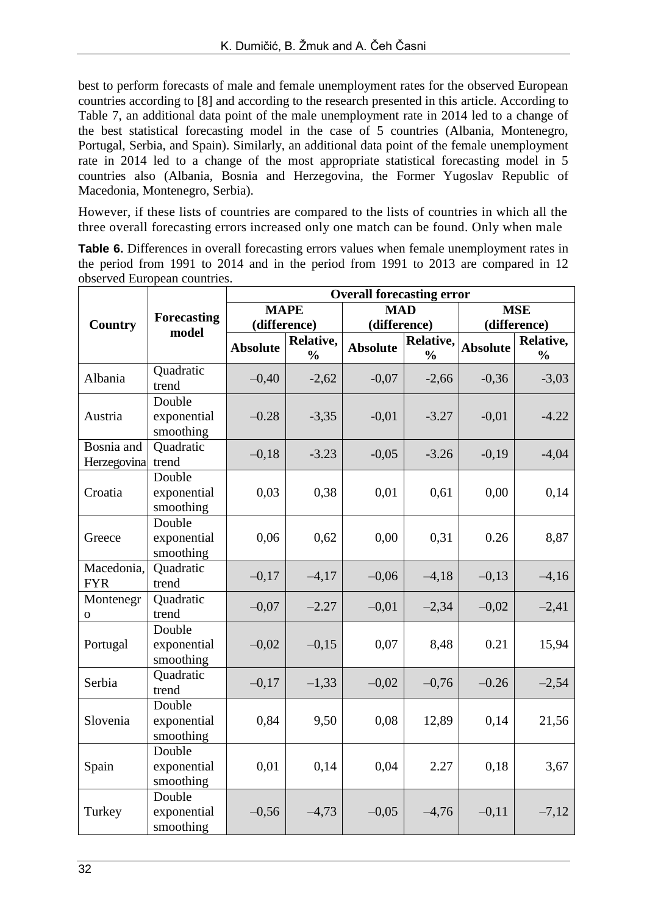best to perform forecasts of male and female unemployment rates for the observed European countries according to [8] and according to the research presented in this article. According to Table 7, an additional data point of the male unemployment rate in 2014 led to a change of the best statistical forecasting model in the case of 5 countries (Albania, Montenegro, Portugal, Serbia, and Spain). Similarly, an additional data point of the female unemployment rate in 2014 led to a change of the most appropriate statistical forecasting model in 5 countries also (Albania, Bosnia and Herzegovina, the Former Yugoslav Republic of Macedonia, Montenegro, Serbia).

However, if these lists of countries are compared to the lists of countries in which all the three overall forecasting errors increased only one match can be found. Only when male

**Table 6.** Differences in overall forecasting errors values when female unemployment rates in the period from 1991 to 2014 and in the period from 1991 to 2013 are compared in 12 observed European countries.

|                           |                                    |                 |                            | <b>Overall forecasting error</b> |                            |                 |                            |
|---------------------------|------------------------------------|-----------------|----------------------------|----------------------------------|----------------------------|-----------------|----------------------------|
|                           | <b>Forecasting</b>                 | <b>MAPE</b>     |                            | <b>MAD</b>                       |                            | <b>MSE</b>      |                            |
| Country                   | model                              | (difference)    |                            | (difference)                     |                            | (difference)    |                            |
|                           |                                    | <b>Absolute</b> | Relative,<br>$\frac{1}{2}$ | <b>Absolute</b>                  | Relative,<br>$\frac{0}{0}$ | <b>Absolute</b> | Relative,<br>$\frac{0}{0}$ |
| Albania                   | Quadratic<br>trend                 | $-0,40$         | $-2,62$                    | $-0,07$                          | $-2,66$                    | $-0,36$         | $-3,03$                    |
| Austria                   | Double<br>exponential<br>smoothing | $-0.28$         | $-3,35$                    | $-0,01$                          | $-3.27$                    | $-0,01$         | $-4.22$                    |
| Bosnia and<br>Herzegovina | Quadratic<br>trend                 | $-0,18$         | $-3.23$                    | $-0,05$                          | $-3.26$                    | $-0,19$         | $-4,04$                    |
| Croatia                   | Double<br>exponential<br>smoothing | 0,03            | 0,38                       | 0,01                             | 0,61                       | 0,00            | 0,14                       |
| Greece                    | Double<br>exponential<br>smoothing | 0,06            | 0,62                       | 0,00                             | 0,31                       | 0.26            | 8,87                       |
| Macedonia,<br><b>FYR</b>  | Quadratic<br>trend                 | $-0,17$         | $-4,17$                    | $-0,06$                          | $-4,18$                    | $-0,13$         | $-4,16$                    |
| Montenegr<br>o            | Quadratic<br>trend                 | $-0,07$         | $-2.27$                    | $-0,01$                          | $-2,34$                    | $-0,02$         | $-2,41$                    |
| Portugal                  | Double<br>exponential<br>smoothing | $-0,02$         | $-0,15$                    | 0,07                             | 8,48                       | 0.21            | 15,94                      |
| Serbia                    | Quadratic<br>trend                 | $-0,17$         | $-1,33$                    | $-0,02$                          | $-0,76$                    | $-0.26$         | $-2,54$                    |
| Slovenia                  | Double<br>exponential<br>smoothing | 0,84            | 9,50                       | 0,08                             | 12,89                      | 0,14            | 21,56                      |
| Spain                     | Double<br>exponential<br>smoothing | 0,01            | 0,14                       | 0,04                             | 2.27                       | 0,18            | 3,67                       |
| Turkey                    | Double<br>exponential<br>smoothing | $-0,56$         | $-4,73$                    | $-0,05$                          | $-4,76$                    | $-0,11$         | $-7,12$                    |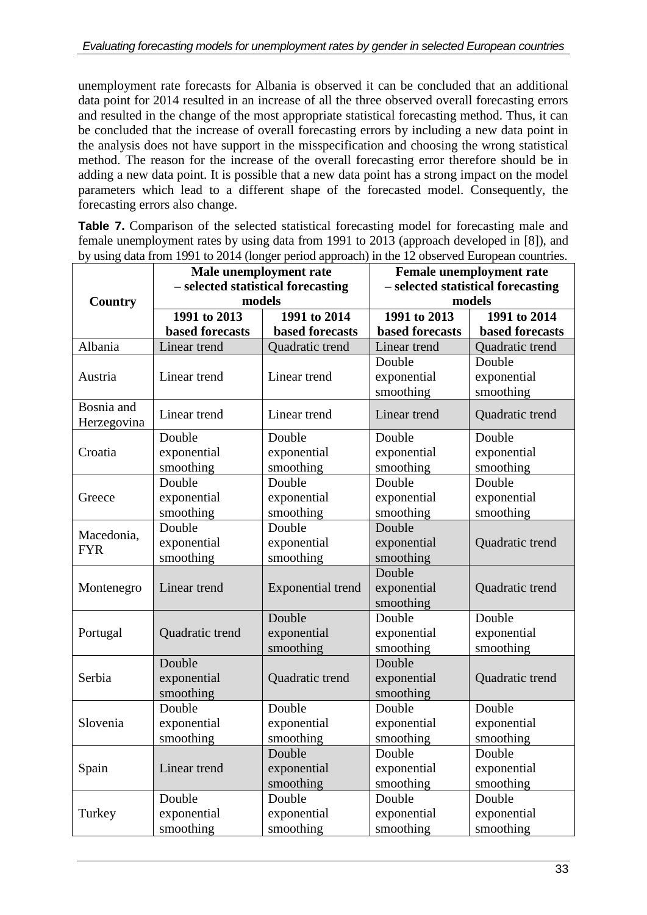unemployment rate forecasts for Albania is observed it can be concluded that an additional data point for 2014 resulted in an increase of all the three observed overall forecasting errors and resulted in the change of the most appropriate statistical forecasting method. Thus, it can be concluded that the increase of overall forecasting errors by including a new data point in the analysis does not have support in the misspecification and choosing the wrong statistical method. The reason for the increase of the overall forecasting error therefore should be in adding a new data point. It is possible that a new data point has a strong impact on the model parameters which lead to a different shape of the forecasted model. Consequently, the forecasting errors also change.

**Table 7.** Comparison of the selected statistical forecasting model for forecasting male and female unemployment rates by using data from 1991 to 2013 (approach developed in [8]), and by using data from 1991 to 2014 (longer period approach) in the 12 observed European countries.

|                |                        | and Home 1991 to 2014 (tonger period approach) in the 12 observed European countries.<br>Male unemployment rate |                                    | <b>Female unemployment rate</b> |  |
|----------------|------------------------|-----------------------------------------------------------------------------------------------------------------|------------------------------------|---------------------------------|--|
|                |                        | - selected statistical forecasting                                                                              | - selected statistical forecasting |                                 |  |
| <b>Country</b> |                        | models                                                                                                          |                                    | models                          |  |
|                | 1991 to 2013           | 1991 to 2014                                                                                                    | 1991 to 2013                       | 1991 to 2014                    |  |
|                | <b>based forecasts</b> | <b>based forecasts</b>                                                                                          | based forecasts                    | <b>based forecasts</b>          |  |
| Albania        | Linear trend           | Quadratic trend                                                                                                 | Linear trend                       | Quadratic trend                 |  |
|                |                        |                                                                                                                 | Double                             | Double                          |  |
| Austria        | Linear trend           | Linear trend                                                                                                    | exponential                        | exponential                     |  |
|                |                        |                                                                                                                 | smoothing                          | smoothing                       |  |
| Bosnia and     | Linear trend           | Linear trend                                                                                                    | Linear trend                       | Quadratic trend                 |  |
| Herzegovina    |                        |                                                                                                                 |                                    |                                 |  |
|                | Double                 | Double                                                                                                          | Double                             | Double                          |  |
| Croatia        | exponential            | exponential                                                                                                     | exponential                        | exponential                     |  |
|                | smoothing              | smoothing                                                                                                       | smoothing                          | smoothing                       |  |
|                | Double                 | Double                                                                                                          | Double                             | Double                          |  |
| Greece         | exponential            | exponential                                                                                                     | exponential                        | exponential                     |  |
|                | smoothing              | smoothing                                                                                                       | smoothing                          | smoothing                       |  |
| Macedonia,     | Double                 | Double                                                                                                          | Double                             |                                 |  |
| <b>FYR</b>     | exponential            | exponential                                                                                                     | exponential                        | Quadratic trend                 |  |
|                | smoothing              | smoothing                                                                                                       | smoothing                          |                                 |  |
|                |                        |                                                                                                                 | Double                             |                                 |  |
| Montenegro     | Linear trend           | Exponential trend                                                                                               | exponential                        | Quadratic trend                 |  |
|                |                        |                                                                                                                 | smoothing                          |                                 |  |
|                |                        | Double                                                                                                          | Double                             | Double                          |  |
| Portugal       | Quadratic trend        | exponential                                                                                                     | exponential                        | exponential                     |  |
|                |                        | smoothing                                                                                                       | smoothing                          | smoothing                       |  |
|                | Double                 |                                                                                                                 | Double                             |                                 |  |
| Serbia         | exponential            | Quadratic trend                                                                                                 | exponential                        | Quadratic trend                 |  |
|                | smoothing              |                                                                                                                 | smoothing                          |                                 |  |
|                | Double                 | Double                                                                                                          | Double                             | Double                          |  |
| Slovenia       | exponential            | exponential                                                                                                     | exponential                        | exponential                     |  |
|                | smoothing              | smoothing                                                                                                       | smoothing                          | smoothing                       |  |
|                |                        | Double                                                                                                          | Double                             | Double                          |  |
| Spain          | Linear trend           | exponential                                                                                                     | exponential                        | exponential                     |  |
|                |                        | smoothing                                                                                                       | smoothing                          | smoothing                       |  |
|                | Double                 | Double                                                                                                          | Double                             | Double                          |  |
| Turkey         | exponential            | exponential                                                                                                     | exponential                        | exponential                     |  |
|                | smoothing              | smoothing                                                                                                       | smoothing                          | smoothing                       |  |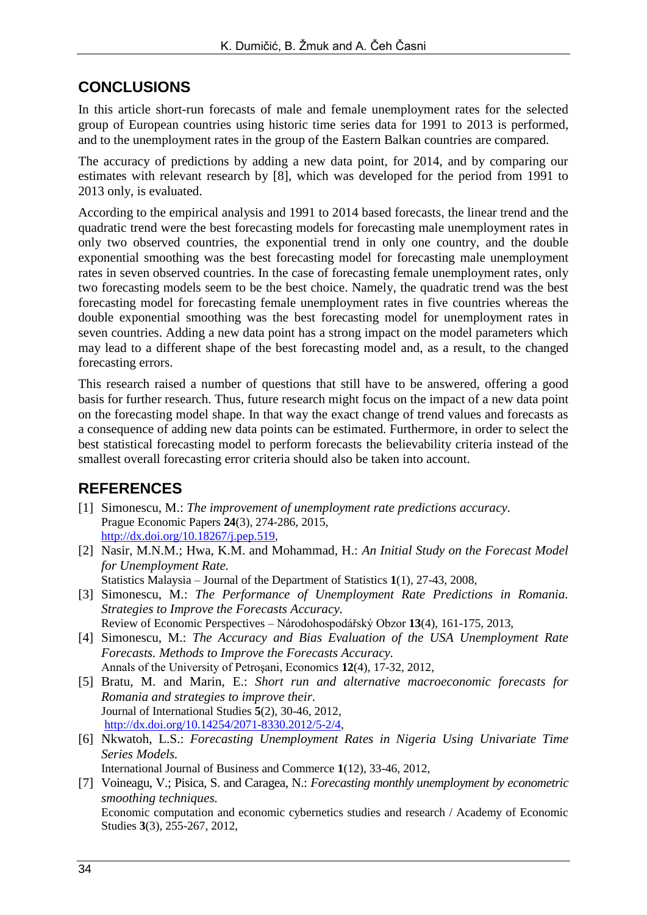## **CONCLUSIONS**

In this article short-run forecasts of male and female unemployment rates for the selected group of European countries using historic time series data for 1991 to 2013 is performed, and to the unemployment rates in the group of the Eastern Balkan countries are compared.

The accuracy of predictions by adding a new data point, for 2014, and by comparing our estimates with relevant research by [8], which was developed for the period from 1991 to 2013 only, is evaluated.

According to the empirical analysis and 1991 to 2014 based forecasts, the linear trend and the quadratic trend were the best forecasting models for forecasting male unemployment rates in only two observed countries, the exponential trend in only one country, and the double exponential smoothing was the best forecasting model for forecasting male unemployment rates in seven observed countries. In the case of forecasting female unemployment rates, only two forecasting models seem to be the best choice. Namely, the quadratic trend was the best forecasting model for forecasting female unemployment rates in five countries whereas the double exponential smoothing was the best forecasting model for unemployment rates in seven countries. Adding a new data point has a strong impact on the model parameters which may lead to a different shape of the best forecasting model and, as a result, to the changed forecasting errors.

This research raised a number of questions that still have to be answered, offering a good basis for further research. Thus, future research might focus on the impact of a new data point on the forecasting model shape. In that way the exact change of trend values and forecasts as a consequence of adding new data points can be estimated. Furthermore, in order to select the best statistical forecasting model to perform forecasts the believability criteria instead of the smallest overall forecasting error criteria should also be taken into account.

# **REFERENCES**

- [1] Simonescu, M.: *The improvement of unemployment rate predictions accuracy.* Prague Economic Papers **24**(3), 274-286, 2015, [http://dx.doi.org/10.18267/j.pep.519,](http://dx.doi.org/10.18267/j.pep.519)
- [2] Nasir, M.N.M.; Hwa, K.M. and Mohammad, H.: *An Initial Study on the Forecast Model for Unemployment Rate.*

Statistics Malaysia – Journal of the Department of Statistics **1**(1), 27-43, 2008,

- [3] Simonescu, M.: *The Performance of Unemployment Rate Predictions in Romania. Strategies to Improve the Forecasts Accuracy.* Review of Economic Perspectives – Národohospodářský Obzor **13**(4), 161-175, 2013,
- [4] Simonescu, M.: *The Accuracy and Bias Evaluation of the USA Unemployment Rate Forecasts. Methods to Improve the Forecasts Accuracy.* Annals of the University of Petroşani, Economics **12**(4), 17-32, 2012,
- [5] Bratu, M. and Marin, E.: *Short run and alternative macroeconomic forecasts for Romania and strategies to improve their.* Journal of International Studies **5**(2), 30-46, 2012, [http://dx.doi.org/10.14254/2071-8330.2012/5-2/4,](http://dx.doi.org/10.14254/2071-8330.2012/5-2/4)
- [6] Nkwatoh, L.S.: *Forecasting Unemployment Rates in Nigeria Using Univariate Time Series Models.* International Journal of Business and Commerce **1**(12), 33-46, 2012,
- [7] Voineagu, V.; Pisica, S. and Caragea, N.: *Forecasting monthly unemployment by econometric smoothing techniques.* Economic computation and economic cybernetics studies and research / Academy of Economic Studies **3**(3), 255-267, 2012,